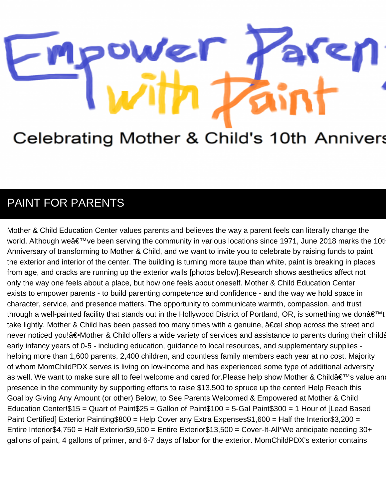## Nel

## Celebrating Mother & Child's 10th Annivers

## PAINT FOR PARENTS

Mother & Child Education Center values parents and believes the way a parent feels can literally change the world. Although we've been serving the community in various locations since 1971, June 2018 marks the 10t Anniversary of transforming to Mother & Child, and we want to invite you to celebrate by raising funds to paint the exterior and interior of the center. The building is turning more taupe than white, paint is breaking in places from age, and cracks are running up the exterior walls [photos below].Research shows aesthetics affect not only the way one feels about a place, but how one feels about oneself. Mother & Child Education Center exists to empower parents - to build parenting competence and confidence - and the way we hold space in character, service, and presence matters. The opportunity to communicate warmth, compassion, and trust through a well-painted facility that stands out in the Hollywood District of Portland, OR, is something we don't take lightly. Mother & Child has been passed too many times with a genuine,  $\hat{a} \in \text{cel}$  shop across the street and never noticed you!―Mother & Child offers a wide variety of services and assistance to parents during their child early infancy years of 0-5 - including education, guidance to local resources, and supplementary supplies helping more than 1,600 parents, 2,400 children, and countless family members each year at no cost. Majority of whom MomChildPDX serves is living on low-income and has experienced some type of additional adversity as well. We want to make sure all to feel welcome and cared for.Please help show Mother & Child's value an presence in the community by supporting efforts to raise \$13,500 to spruce up the center! Help Reach this Goal by Giving Any Amount (or other) Below, to See Parents Welcomed & Empowered at Mother & Child Education Center!\$15 = Quart of Paint\$25 = Gallon of Paint\$100 = 5-Gal Paint\$300 = 1 Hour of [Lead Based Paint Certified] Exterior Painting\$800 = Help Cover any Extra Expenses\$1,600 = Half the Interior\$3,200 = Entire Interior\$4,750 = Half Exterior\$9,500 = Entire Exterior\$13,500 = Cover-It-All\*We anticipate needing 30+ gallons of paint, 4 gallons of primer, and 6-7 days of labor for the exterior. MomChildPDX's exterior contains